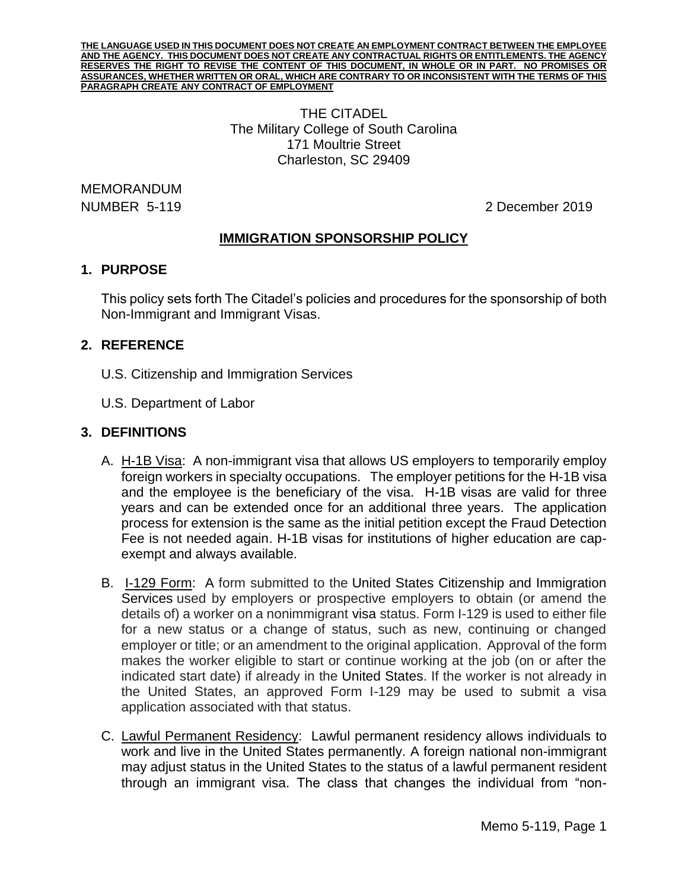> THE CITADEL The Military College of South Carolina 171 Moultrie Street Charleston, SC 29409

MEMORANDUM

NUMBER 5-119 2 December 2019

## **IMMIGRATION SPONSORSHIP POLICY**

#### **1. PURPOSE**

This policy sets forth The Citadel's policies and procedures for the sponsorship of both Non-Immigrant and Immigrant Visas.

## **2. REFERENCE**

- U.S. Citizenship and Immigration Services
- U.S. Department of Labor

# **3. DEFINITIONS**

- A. H-1B Visa: A non-immigrant visa that allows US employers to temporarily employ foreign workers in specialty occupations. The employer petitions for the H-1B visa and the employee is the beneficiary of the visa. H-1B visas are valid for three years and can be extended once for an additional three years. The application process for extension is the same as the initial petition except the Fraud Detection Fee is not needed again. H-1B visas for institutions of higher education are capexempt and always available.
- B. I-129 Form: A form submitted to the United States Citizenship and Immigration Services used by employers or prospective employers to obtain (or amend the details of) a worker on a nonimmigrant visa status. Form I-129 is used to either file for a new status or a change of status, such as new, continuing or changed employer or title; or an amendment to the original application. Approval of the form makes the worker eligible to start or continue working at the job (on or after the indicated start date) if already in the United States. If the worker is not already in the United States, an approved Form I-129 may be used to submit a visa application associated with that status.
- C. Lawful Permanent Residency: Lawful permanent residency allows individuals to work and live in the United States permanently. A foreign national non-immigrant may adjust status in the United States to the status of a lawful permanent resident through an immigrant visa. The class that changes the individual from "non-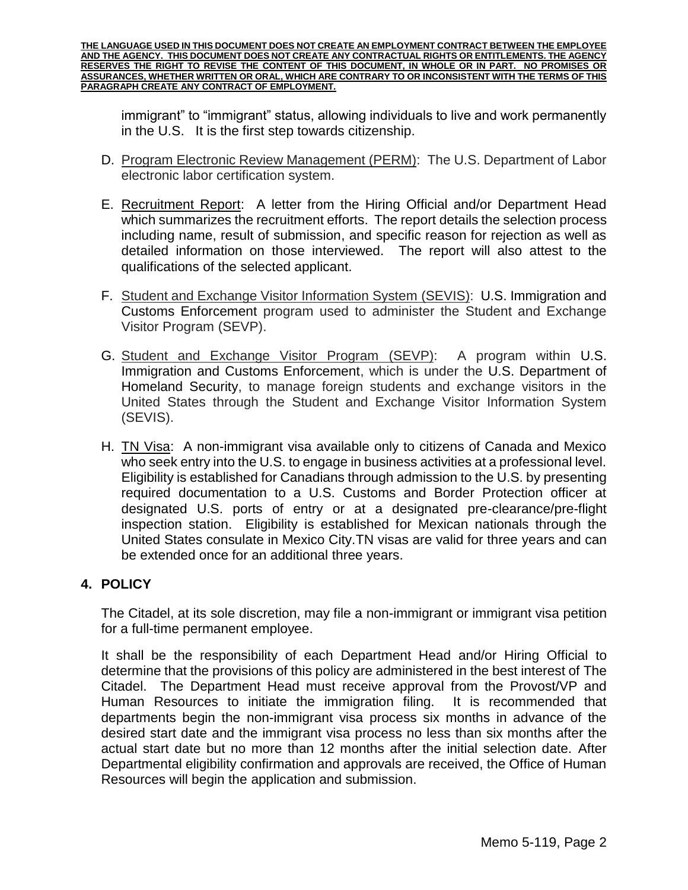immigrant" to "immigrant" status, allowing individuals to live and work permanently in the U.S. It is the first step towards citizenship.

- D. Program Electronic Review Management (PERM): The U.S. Department of Labor electronic labor certification system.
- E. Recruitment Report: A letter from the Hiring Official and/or Department Head which summarizes the recruitment efforts. The report details the selection process including name, result of submission, and specific reason for rejection as well as detailed information on those interviewed. The report will also attest to the qualifications of the selected applicant.
- F. Student and Exchange Visitor Information System (SEVIS): U.S. Immigration and Customs Enforcement program used to administer the Student and Exchange Visitor Program (SEVP).
- G. Student and Exchange Visitor Program (SEVP): A program within U.S. Immigration and Customs Enforcement, which is under the U.S. Department of Homeland Security, to manage foreign students and exchange visitors in the United States through the Student and Exchange Visitor Information System (SEVIS).
- H. TN Visa: A non-immigrant visa available only to citizens of Canada and Mexico who seek entry into the U.S. to engage in business activities at a professional level. Eligibility is established for Canadians through admission to the U.S. by presenting required documentation to a U.S. Customs and Border Protection officer at designated U.S. ports of entry or at a designated pre-clearance/pre-flight inspection station. Eligibility is established for Mexican nationals through the United States consulate in Mexico City.TN visas are valid for three years and can be extended once for an additional three years.

#### **4. POLICY**

The Citadel, at its sole discretion, may file a non-immigrant or immigrant visa petition for a full-time permanent employee.

It shall be the responsibility of each Department Head and/or Hiring Official to determine that the provisions of this policy are administered in the best interest of The Citadel. The Department Head must receive approval from the Provost/VP and Human Resources to initiate the immigration filing. It is recommended that departments begin the non-immigrant visa process six months in advance of the desired start date and the immigrant visa process no less than six months after the actual start date but no more than 12 months after the initial selection date. After Departmental eligibility confirmation and approvals are received, the Office of Human Resources will begin the application and submission.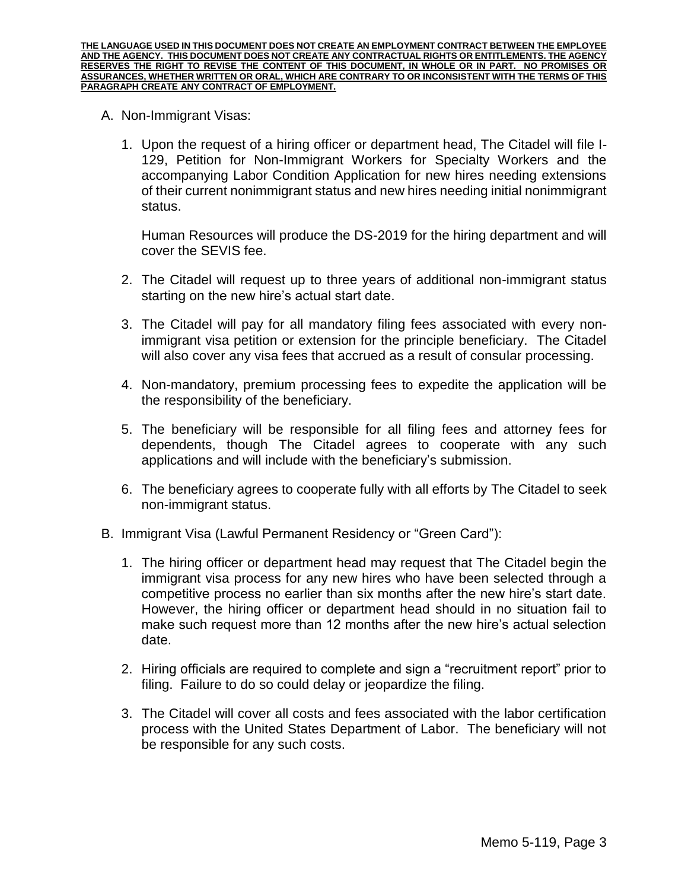- A. Non-Immigrant Visas:
	- 1. Upon the request of a hiring officer or department head, The Citadel will file I-129, Petition for Non-Immigrant Workers for Specialty Workers and the accompanying Labor Condition Application for new hires needing extensions of their current nonimmigrant status and new hires needing initial nonimmigrant status.

Human Resources will produce the DS-2019 for the hiring department and will cover the SEVIS fee.

- 2. The Citadel will request up to three years of additional non-immigrant status starting on the new hire's actual start date.
- 3. The Citadel will pay for all mandatory filing fees associated with every nonimmigrant visa petition or extension for the principle beneficiary. The Citadel will also cover any visa fees that accrued as a result of consular processing.
- 4. Non-mandatory, premium processing fees to expedite the application will be the responsibility of the beneficiary.
- 5. The beneficiary will be responsible for all filing fees and attorney fees for dependents, though The Citadel agrees to cooperate with any such applications and will include with the beneficiary's submission.
- 6. The beneficiary agrees to cooperate fully with all efforts by The Citadel to seek non-immigrant status.
- B. Immigrant Visa (Lawful Permanent Residency or "Green Card"):
	- 1. The hiring officer or department head may request that The Citadel begin the immigrant visa process for any new hires who have been selected through a competitive process no earlier than six months after the new hire's start date. However, the hiring officer or department head should in no situation fail to make such request more than 12 months after the new hire's actual selection date.
	- 2. Hiring officials are required to complete and sign a "recruitment report" prior to filing. Failure to do so could delay or jeopardize the filing.
	- 3. The Citadel will cover all costs and fees associated with the labor certification process with the United States Department of Labor. The beneficiary will not be responsible for any such costs.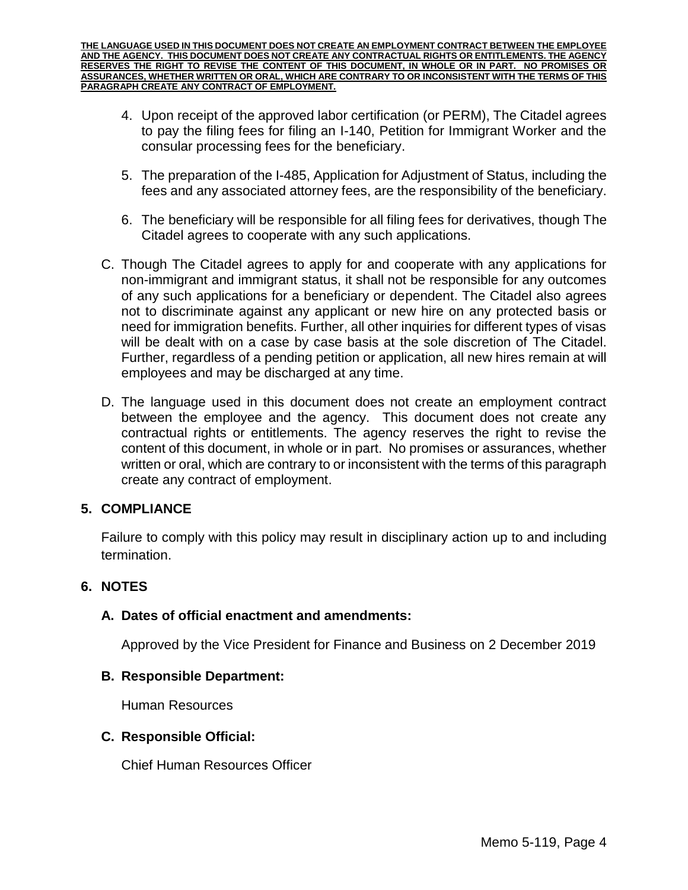- 4. Upon receipt of the approved labor certification (or PERM), The Citadel agrees to pay the filing fees for filing an I-140, Petition for Immigrant Worker and the consular processing fees for the beneficiary.
- 5. The preparation of the I-485, Application for Adjustment of Status, including the fees and any associated attorney fees, are the responsibility of the beneficiary.
- 6. The beneficiary will be responsible for all filing fees for derivatives, though The Citadel agrees to cooperate with any such applications.
- C. Though The Citadel agrees to apply for and cooperate with any applications for non-immigrant and immigrant status, it shall not be responsible for any outcomes of any such applications for a beneficiary or dependent. The Citadel also agrees not to discriminate against any applicant or new hire on any protected basis or need for immigration benefits. Further, all other inquiries for different types of visas will be dealt with on a case by case basis at the sole discretion of The Citadel. Further, regardless of a pending petition or application, all new hires remain at will employees and may be discharged at any time.
- D. The language used in this document does not create an employment contract between the employee and the agency. This document does not create any contractual rights or entitlements. The agency reserves the right to revise the content of this document, in whole or in part. No promises or assurances, whether written or oral, which are contrary to or inconsistent with the terms of this paragraph create any contract of employment.

#### **5. COMPLIANCE**

Failure to comply with this policy may result in disciplinary action up to and including termination.

#### **6. NOTES**

#### **A. Dates of official enactment and amendments:**

Approved by the Vice President for Finance and Business on 2 December 2019

#### **B. Responsible Department:**

Human Resources

#### **C. Responsible Official:**

Chief Human Resources Officer